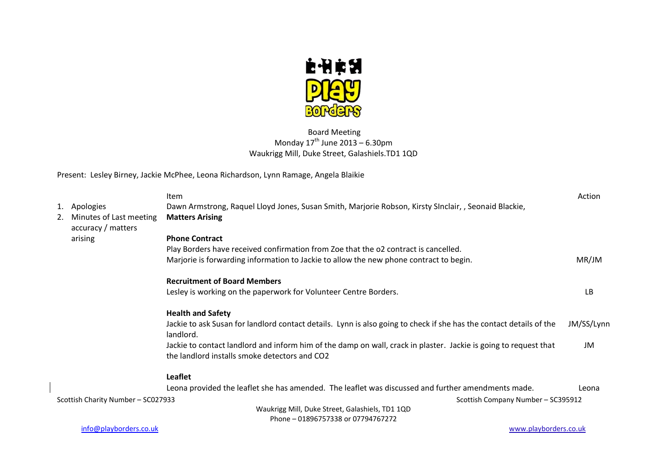

# Board Meeting Monday  $17^{th}$  June 2013 – 6.30pm Waukrigg Mill, Duke Street, Galashiels.TD1 1QD

Present: Lesley Birney, Jackie McPhee, Leona Richardson, Lynn Ramage, Angela Blaikie

|    |                                               | Item                                                                                                                                                              | Action     |
|----|-----------------------------------------------|-------------------------------------------------------------------------------------------------------------------------------------------------------------------|------------|
|    | 1. Apologies                                  | Dawn Armstrong, Raquel Lloyd Jones, Susan Smith, Marjorie Robson, Kirsty SInclair, , Seonaid Blackie,                                                             |            |
| 2. | Minutes of Last meeting<br>accuracy / matters | <b>Matters Arising</b>                                                                                                                                            |            |
|    | arising                                       | <b>Phone Contract</b>                                                                                                                                             |            |
|    |                                               | Play Borders have received confirmation from Zoe that the o2 contract is cancelled.                                                                               |            |
|    |                                               | Marjorie is forwarding information to Jackie to allow the new phone contract to begin.                                                                            | MR/JM      |
|    |                                               | <b>Recruitment of Board Members</b>                                                                                                                               |            |
|    |                                               | Lesley is working on the paperwork for Volunteer Centre Borders.                                                                                                  | <b>LB</b>  |
|    |                                               | <b>Health and Safety</b>                                                                                                                                          |            |
|    |                                               | Jackie to ask Susan for landlord contact details. Lynn is also going to check if she has the contact details of the<br>landlord.                                  | JM/SS/Lynn |
|    |                                               | Jackie to contact landlord and inform him of the damp on wall, crack in plaster. Jackie is going to request that<br>the landlord installs smoke detectors and CO2 | JM         |
|    |                                               | Leaflet                                                                                                                                                           |            |
|    |                                               | Leona provided the leaflet she has amended. The leaflet was discussed and further amendments made.                                                                | Leona      |
|    | Scottish Charity Number - SC027933            | Scottish Company Number - SC395912                                                                                                                                |            |
|    |                                               | Waukrigg Mill, Duke Street, Galashiels, TD1 1QD                                                                                                                   |            |
|    |                                               | Phone - 01896757338 or 07794767272                                                                                                                                |            |

[info@playborders.co.uk](mailto:info@playborders.co.uk) www.playborders.co.uk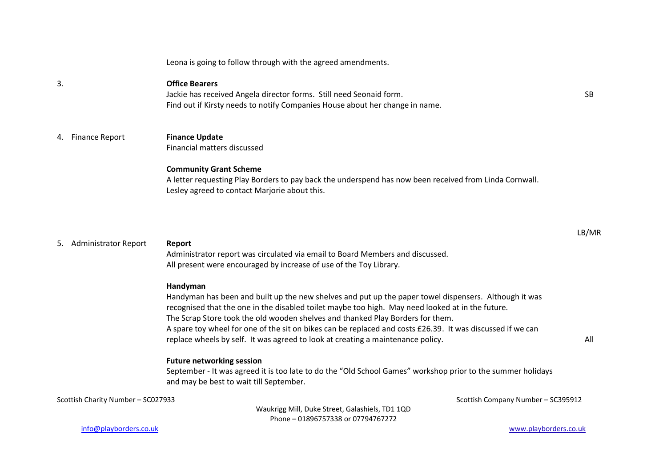Leona is going to follow through with the agreed amendments.

### 3. **Office Bearers**

Jackie has received Angela director forms. Still need Seonaid form. Find out if Kirsty needs to notify Companies House about her change in name.

## 4. Finance Report **Finance Update**

Financial matters discussed

#### **Community Grant Scheme**

A letter requesting Play Borders to pay back the underspend has now been received from Linda Cornwall. Lesley agreed to contact Marjorie about this.

#### 5. Administrator Report **Report**

Administrator report was circulated via email to Board Members and discussed. All present were encouraged by increase of use of the Toy Library.

#### **Handyman**

Handyman has been and built up the new shelves and put up the paper towel dispensers. Although it was recognised that the one in the disabled toilet maybe too high. May need looked at in the future. The Scrap Store took the old wooden shelves and thanked Play Borders for them. A spare toy wheel for one of the sit on bikes can be replaced and costs £26.39. It was discussed if we can replace wheels by self. It was agreed to look at creating a maintenance policy.

#### **Future networking session**

September - It was agreed it is too late to do the "Old School Games" workshop prior to the summer holidays and may be best to wait till September.

Scottish Charity Number – SC027933 Scottish Charity Number – SC395912

Waukrigg Mill, Duke Street, Galashiels, TD1 1QD Phone – 01896757338 or 07794767272

SB

LB/MR

All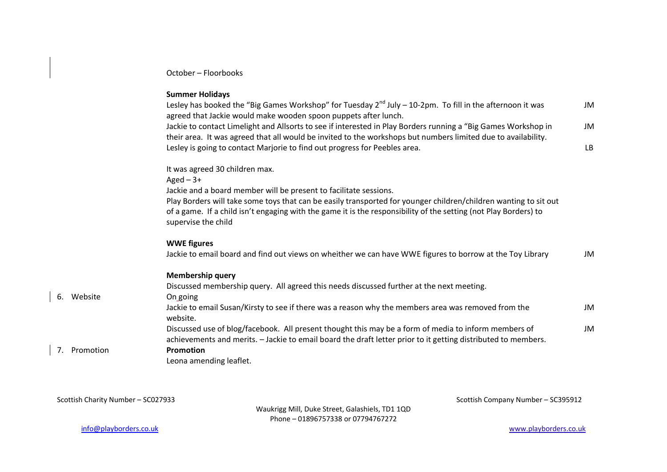October – Floorbooks

#### **Summer Holidays**

| Lesley has booked the "Big Games Workshop" for Tuesday $2^{nd}$ July – 10-2pm. To fill in the afternoon it was<br>agreed that Jackie would make wooden spoon puppets after lunch. | <b>JM</b> |
|-----------------------------------------------------------------------------------------------------------------------------------------------------------------------------------|-----------|
| Jackie to contact Limelight and Allsorts to see if interested in Play Borders running a "Big Games Workshop in                                                                    | <b>JM</b> |
| their area. It was agreed that all would be invited to the workshops but numbers limited due to availability.                                                                     |           |
| Lesley is going to contact Marjorie to find out progress for Peebles area.                                                                                                        | LB        |
| It was agreed 30 children max.                                                                                                                                                    |           |
| Aged $-3+$                                                                                                                                                                        |           |
| Jackie and a board member will be present to facilitate sessions.                                                                                                                 |           |
| Play Borders will take some toys that can be easily transported for younger children/children wanting to sit out                                                                  |           |
| of a game. If a child isn't engaging with the game it is the responsibility of the setting (not Play Borders) to<br>supervise the child                                           |           |
| <b>WWE figures</b>                                                                                                                                                                |           |
| Jackie to email board and find out views on wheither we can have WWE figures to borrow at the Toy Library                                                                         | JM        |
| <b>Membership query</b>                                                                                                                                                           |           |
| Discussed membership query. All agreed this needs discussed further at the next meeting.                                                                                          |           |
| On going                                                                                                                                                                          |           |
| Jackie to email Susan/Kirsty to see if there was a reason why the members area was removed from the                                                                               | JM        |
| website.                                                                                                                                                                          |           |
| Discussed use of blog/facebook. All present thought this may be a form of media to inform members of                                                                              | JM        |
| achievements and merits. - Jackie to email board the draft letter prior to it getting distributed to members.                                                                     |           |
| <b>Promotion</b>                                                                                                                                                                  |           |
| Leona amending leaflet.                                                                                                                                                           |           |

Scottish Charity Number – SC027933 Scottish Company Number – SC395912

6. Website

7. Promotion **Promotion**

Waukrigg Mill, Duke Street, Galashiels, TD1 1QD Phone – 01896757338 or 07794767272

[info@playborders.co.uk](mailto:info@playborders.co.uk) www.playborders.co.uk